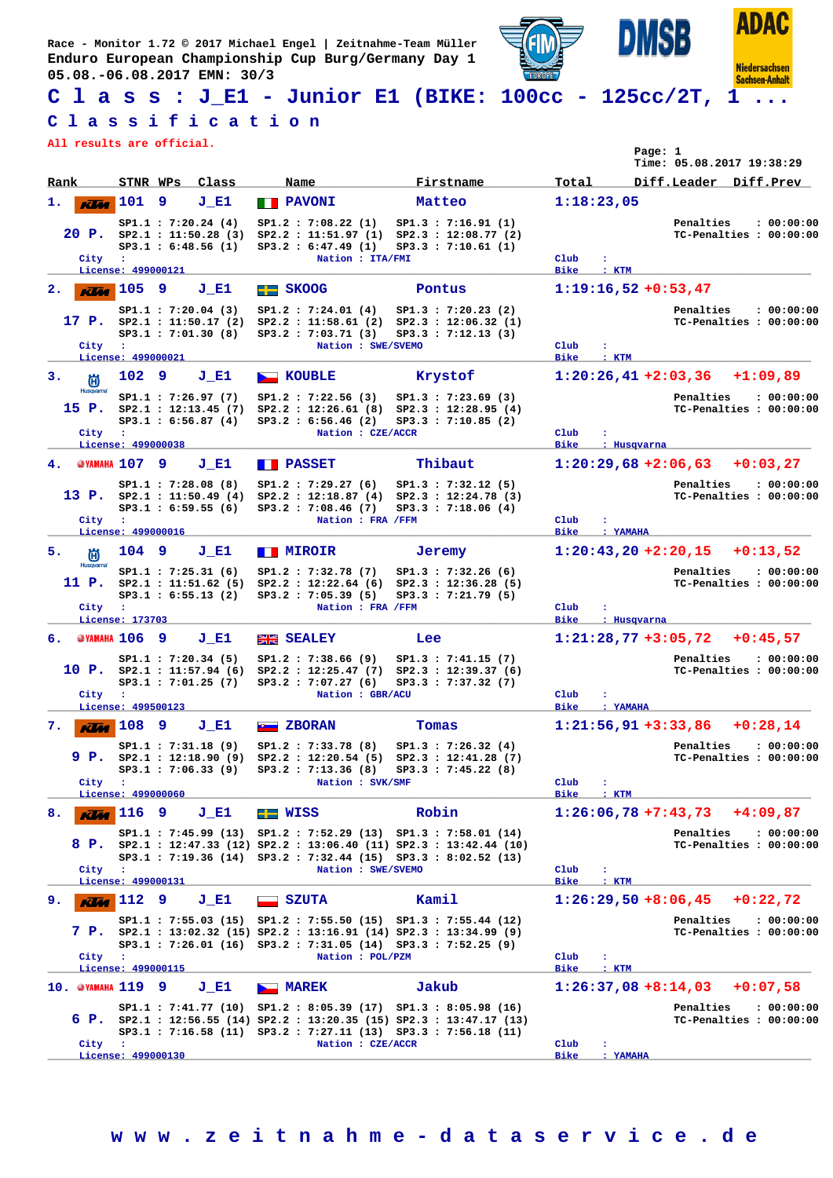**Race - Monitor 1.72 © 2017 Michael Engel | Zeitnahme-Team Müller Enduro European Championship Cup Burg/Germany Day 1 05.08.-06.08.2017 EMN: 30/3**



## **C l a s s : J\_E1 - Junior E1 (BIKE: 100cc - 125cc/2T, 1 ...**

## **C l a s s i f i c a t i o n**

**All results are official.**

|                      | All results are official.                                                         |                                                                  |        |                     |                                                                                                                                                                                                                     |        |                                                                              |                       | Page: 1                       | Time: 05.08.2017 19:38:29 |          |                                       |
|----------------------|-----------------------------------------------------------------------------------|------------------------------------------------------------------|--------|---------------------|---------------------------------------------------------------------------------------------------------------------------------------------------------------------------------------------------------------------|--------|------------------------------------------------------------------------------|-----------------------|-------------------------------|---------------------------|----------|---------------------------------------|
| Rank                 |                                                                                   | STNR WPs Class                                                   |        | Name                |                                                                                                                                                                                                                     |        | Firstname                                                                    | Total                 |                               | Diff.Leader Diff.Prev     |          |                                       |
| ı.                   | 101<br><b>Klas</b>                                                                | 9                                                                | J E1   | <b>THE PAVONI</b>   |                                                                                                                                                                                                                     | Matteo |                                                                              |                       | 1:18:23,05                    |                           |          |                                       |
| City                 | $20$ P. $SP2.1$ : 11:50.28 (3)<br>$\cdot$                                         | SP1.1 : 7:20.24(4)<br>SP3.1 : 6:48.56 (1)                        |        |                     | SP1.2: 7:08.22 (1)<br>SP2.2: 11:51.97 (1) SP2.3: 12:08.77 (2)<br>SP3.2 : 6:47.49 (1)<br>Nation : ITA/FMI                                                                                                            |        | SP1.3 : 7:16.91(1)<br>SP3.3 : 7:10.61 (1)                                    | Club                  | ÷                             | Penalties                 |          | : 00:00:00<br>TC-Penalties : 00:00:00 |
|                      | License: 499000121                                                                |                                                                  |        |                     |                                                                                                                                                                                                                     |        |                                                                              | <b>Bike</b>           | : KTM                         |                           |          |                                       |
| 2.                   | $K$ $M$ $105$                                                                     | 9                                                                | J E1   | $F =$ SKOOG         |                                                                                                                                                                                                                     | Pontus |                                                                              |                       | $1:19:16,52 +0:53,47$         |                           |          |                                       |
| City                 | 17 P. $SP2.1 : 11:50.17(2)$<br>$\ddot{\phantom{a}}$                               | SP1.1 : 7:20.04(3)<br>SP3.1 : 7:01.30(8)                         |        |                     | SP1.2 : 7:24.01(4)<br>$SP2.2 : 11:58.61 (2) SP2.3 : 12:06.32 (1)$<br>SP3.2 : 7:03.71 (3)<br>Nation : SWE/SVEMO                                                                                                      |        | SP1.3 : 7:20.23(2)<br>SP3.3 : 7:12.13(3)                                     | Club                  |                               | Penalties                 |          | : 00:00:00<br>TC-Penalties : 00:00:00 |
|                      | License: 499000021                                                                |                                                                  |        |                     |                                                                                                                                                                                                                     |        |                                                                              | <b>Bike</b>           | $:$ KTM                       |                           |          |                                       |
| з.<br>尚<br>Husqvarna | 102 9                                                                             |                                                                  | $J_E1$ | <b>NEW KOUBLE</b>   |                                                                                                                                                                                                                     |        | Krystof                                                                      |                       | $1:20:26,41+2:03,36$          |                           | +1:09,89 |                                       |
| 15 P.                | City :                                                                            | SP1.1 : 7:26.97(7)<br>SP2.1 : 12:13.45 (7)<br>SP3.1 : 6:56.87(4) |        |                     | SP1.2 : 7:22.56(3)<br>$SP2.2 : 12:26.61 (8) SP2.3 : 12:28.95 (4)$<br>SP3.2 : 6:56.46 (2)<br>Nation : CZE/ACCR                                                                                                       |        | SP1.3 : 7:23.69(3)<br>SP3.3 : 7:10.85 (2)                                    | Club                  | ÷                             | Penalties                 |          | : 00:00:00<br>TC-Penalties : 00:00:00 |
|                      | License: 499000038                                                                |                                                                  |        |                     |                                                                                                                                                                                                                     |        |                                                                              | <b>Bike</b>           | : Husqvarna                   |                           |          |                                       |
| 4.                   | <b>@YAMAHA 107 9</b>                                                              |                                                                  | J E1   | <b>FRASSET</b>      |                                                                                                                                                                                                                     |        | Thibaut                                                                      |                       | $1:20:29,68+2:06,63+0:03,27$  |                           |          |                                       |
| City                 | $\cdot$ :                                                                         | SP1.1 : 7:28.08 (8)<br>SP3.1 : 6:59.55(6)                        |        |                     | SP1.2 : 7:29.27(6)<br>13 P. sp2.1 : 11:50.49 (4) Sp2.2 : 12:18.87 (4) Sp2.3 : 12:24.78 (3)<br>SP3.2 : 7:08.46(7)<br>Nation : FRA /FFM                                                                               |        | SP1.3 : 7:32.12(5)<br>SP3.3 : 7:18.06(4)                                     | Club                  |                               | Penalties                 |          | : 00:00:00<br>TC-Penalties : 00:00:00 |
|                      | License: 499000016                                                                |                                                                  |        |                     |                                                                                                                                                                                                                     |        |                                                                              | <b>Bike</b>           | : YAMAHA                      |                           |          |                                       |
| 5.<br>尚              | 104 9                                                                             |                                                                  | J E1   | <b>TEMIROIR</b>     |                                                                                                                                                                                                                     | Jeremy |                                                                              |                       | $1:20:43,20+2:20,15$          |                           | +0:13,52 |                                       |
| Husqvarna<br>11 P.   |                                                                                   | SP1.1 : 7:25.31(6)<br>SP2.1 : 11:51.62(5)<br>SP3.1 : 6:55.13 (2) |        |                     | SP1.2 : 7:32.78 (7)<br>$SP2.2 : 12:22.64 (6) SP2.3 : 12:36.28 (5)$<br>SP3.2 : 7:05.39 (5)                                                                                                                           |        | SP1.3 : 7:32.26(6)<br>SP3.3 : 7:21.79(5)                                     |                       |                               | Penalties                 |          | : 00:00:00<br>TC-Penalties : 00:00:00 |
| City                 | $\mathbf{L}$<br>License: 173703                                                   |                                                                  |        |                     | Nation : FRA /FFM                                                                                                                                                                                                   |        |                                                                              | Club<br><b>Bike</b>   | ÷<br>: Husqvarna              |                           |          |                                       |
| 6.                   | @YAMAHA 106                                                                       | -9                                                               | J E1   | <b>EXALEY</b>       |                                                                                                                                                                                                                     | Lee    |                                                                              |                       | $1:21:28,77+3:05,72$          |                           |          | $+0:45,57$                            |
| City                 | $10 \text{ P.} \quad \text{SP2.1} : 11:57.94(6)$<br>$\cdot$<br>License: 499500123 | SP1.1: 7:20.34 (5)<br>SP3.1 : 7:01.25(7)                         |        |                     | SP1.2 : 7:38.66(9)<br>SP2.2 : 12:25.47(7)<br>SP3.2 : 7:07.27(6)<br>Nation : GBR/ACU                                                                                                                                 |        | SP1.3 : 7:41.15 (7)<br>SP2.3 : 12:39.37(6)<br>SP3.3 : 7:37.32 (7)            | Club<br>Bike          | ÷<br>: YAMAHA                 | Penalties                 |          | : 00:00:00<br>TC-Penalties : 00:00:00 |
| 7.                   | $K$ $4$ $108$                                                                     | 9                                                                | J E1   | <b>B</b> ZBORAN     |                                                                                                                                                                                                                     | Tomas  |                                                                              |                       | $1:21:56,91+3:33,86$          |                           |          | $+0:28,14$                            |
| 9 P.                 | City :<br>License: 499000060                                                      | SP1.1 : 7:31.18 (9)<br>SP2.1 : 12:18.90(9)                       |        |                     | SP1.2 : 7:33.78 (8)<br>$SP2.2 : 12:20.54 (5) SP2.3 : 12:41.28 (7)$<br>SP3.1: 7:06.33 (9) SP3.2: 7:13.36 (8) SP3.3: 7:45.22 (8)<br>Nation : SVK/SMF                                                                  |        | SP1.3 : 7:26.32(4)                                                           | Club<br><b>Bike</b>   | ÷<br>$:$ KTM                  | Penalties                 |          | : 00:00:00<br>TC-Penalties : 00:00:00 |
| 8.                   | 116 9<br><b>Klas</b>                                                              |                                                                  | J E1   | $\blacksquare$ WISS |                                                                                                                                                                                                                     | Robin  |                                                                              |                       | $1:26:06,78+7:43,73+4:09,87$  |                           |          |                                       |
|                      |                                                                                   |                                                                  |        |                     | SP1.1: 7:45.99 (13) SP1.2: 7:52.29 (13) SP1.3: 7:58.01 (14)                                                                                                                                                         |        | 8 P. SP2.1 : 12:47.33 (12) SP2.2 : 13:06.40 (11) SP2.3 : 13:42.44 (10)       |                       |                               | Penalties                 |          | : 00:00:00<br>TC-Penalties : 00:00:00 |
|                      | City :                                                                            |                                                                  |        |                     | SP3.1: 7:19.36 (14) SP3.2: 7:32.44 (15) SP3.3: 8:02.52 (13)<br>Nation : SWE/SVEMO                                                                                                                                   |        |                                                                              | Club                  | $\ddot{\phantom{a}}$          |                           |          |                                       |
|                      | License: 499000131                                                                |                                                                  |        |                     |                                                                                                                                                                                                                     |        |                                                                              | <b>Bike</b>           | : KTM                         |                           |          |                                       |
| 9.                   | 112 9<br><b>KLM</b>                                                               |                                                                  | J E1   | <b>SZUTA</b>        |                                                                                                                                                                                                                     | Kamil  |                                                                              |                       | $1:26:29,50$ +8:06,45         |                           |          | $+0:22,72$                            |
| City                 | $\mathbf{r}$                                                                      |                                                                  |        |                     | SP1.1: 7:55.03 (15) SP1.2: 7:55.50 (15) SP1.3: 7:55.44 (12)<br>7 P. sp2.1: 13:02.32 (15) Sp2.2: 13:16.91 (14) Sp2.3: 13:34.99 (9)<br>SP3.1: 7:26.01 (16) SP3.2: 7:31.05 (14) SP3.3: 7:52.25 (9)<br>Nation : POL/PZM |        |                                                                              | Club                  | ÷                             | Penalties                 |          | : 00:00:00<br>TC-Penalties : 00:00:00 |
|                      | License: 499000115                                                                |                                                                  |        |                     |                                                                                                                                                                                                                     |        |                                                                              | Bike                  | $:$ KTM                       |                           |          |                                       |
|                      | 10. @YAMAHA 119 9                                                                 |                                                                  | J E1   | <b>ALL MAREK</b>    | SP1.1: 7:41.77 (10) SP1.2: 8:05.39 (17) SP1.3: 8:05.98 (16)                                                                                                                                                         | Jakub  | 6 P. $SP2.1$ : 12:56.55 (14) $SP2.2$ : 13:20.35 (15) $SP2.3$ : 13:47.17 (13) |                       | $1:26:37,08+8:14,03$ +0:07,58 | Penalties                 |          | : 00:00:00<br>TC-Penalties : 00:00:00 |
|                      | City :<br>License: 499000130                                                      |                                                                  |        |                     | SP3.1: 7:16.58 (11) SP3.2: 7:27.11 (13) SP3.3: 7:56.18 (11)<br>Nation : CZE/ACCR                                                                                                                                    |        |                                                                              | $_{\rm Club}$<br>Bike | ÷<br>: YAMAHA                 |                           |          |                                       |